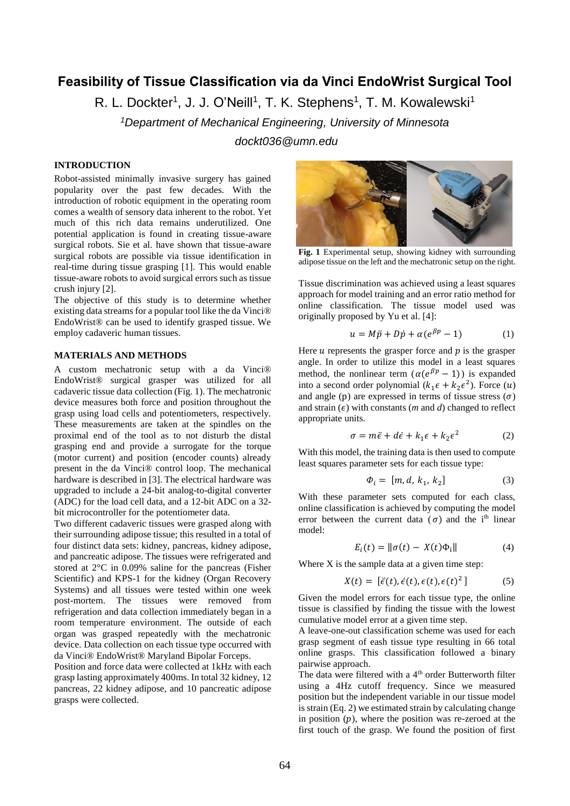# **Feasibility of Tissue Classification via da Vinci EndoWrist Surgical Tool**

R. L. Dockter<sup>1</sup>, J. J. O'Neill<sup>1</sup>, T. K. Stephens<sup>1</sup>, T. M. Kowalewski<sup>1</sup>

*<sup>1</sup>Department of Mechanical Engineering, University of Minnesota dockt036@umn.edu*

## **INTRODUCTION**

Robot-assisted minimally invasive surgery has gained popularity over the past few decades. With the introduction of robotic equipment in the operating room comes a wealth of sensory data inherent to the robot. Yet much of this rich data remains underutilized. One potential application is found in creating tissue-aware surgical robots. Sie et al. have shown that tissue-aware surgical robots are possible via tissue identification in real-time during tissue grasping [1]. This would enable tissue-aware robots to avoid surgical errors such as tissue crush injury [2].

The objective of this study is to determine whether existing data streams for a popular tool like the da Vinci® EndoWrist® can be used to identify grasped tissue. We employ cadaveric human tissues.

## **MATERIALS AND METHODS**

A custom mechatronic setup with a da Vinci® EndoWrist® surgical grasper was utilized for all cadaveric tissue data collection (Fig. 1). The mechatronic device measures both force and position throughout the grasp using load cells and potentiometers, respectively. These measurements are taken at the spindles on the proximal end of the tool as to not disturb the distal grasping end and provide a surrogate for the torque (motor current) and position (encoder counts) already present in the da Vinci® control loop. The mechanical hardware is described in [3]. The electrical hardware was upgraded to include a 24-bit analog-to-digital converter (ADC) for the load cell data, and a 12-bit ADC on a 32 bit microcontroller for the potentiometer data.

Two different cadaveric tissues were grasped along with their surrounding adipose tissue; this resulted in a total of four distinct data sets: kidney, pancreas, kidney adipose, and pancreatic adipose. The tissues were refrigerated and stored at 2°C in 0.09% saline for the pancreas (Fisher Scientific) and KPS-1 for the kidney (Organ Recovery Systems) and all tissues were tested within one week post-mortem. The tissues were removed from refrigeration and data collection immediately began in a room temperature environment. The outside of each organ was grasped repeatedly with the mechatronic device. Data collection on each tissue type occurred with da Vinci® EndoWrist® Maryland Bipolar Forceps.

Position and force data were collected at 1kHz with each grasp lasting approximately 400ms. In total 32 kidney, 12 pancreas, 22 kidney adipose, and 10 pancreatic adipose grasps were collected.



**Fig. 1** Experimental setup, showing kidney with surrounding adipose tissue on the left and the mechatronic setup on the right.

Tissue discrimination was achieved using a least squares approach for model training and an error ratio method for online classification. The tissue model used was originally proposed by Yu et al. [4]:

$$
u = M\ddot{p} + D\dot{p} + \alpha(e^{\beta p} - 1) \tag{1}
$$

Here  $u$  represents the grasper force and  $p$  is the grasper angle. In order to utilize this model in a least squares method, the nonlinear term  $(\alpha(e^{\beta p}-1))$  is expanded into a second order polynomial  $(k_1 \epsilon + k_2 \epsilon^2)$ . Force  $(u)$ and angle (p) are expressed in terms of tissue stress  $(\sigma)$ and strain  $(\epsilon)$  with constants (*m* and *d*) changed to reflect appropriate units.

$$
\sigma = m\ddot{\epsilon} + d\dot{\epsilon} + k_1\epsilon + k_2\epsilon^2 \tag{2}
$$

With this model, the training data is then used to compute least squares parameter sets for each tissue type:

$$
\Phi_i = [m, d, k_1, k_2] \tag{3}
$$

With these parameter sets computed for each class, online classification is achieved by computing the model error between the current data  $(\sigma)$  and the i<sup>th</sup> linear model:

$$
E_i(t) = \|\sigma(t) - X(t)\Phi_i\| \tag{4}
$$

Where X is the sample data at a given time step:

$$
X(t) = [\ddot{\epsilon}(t), \dot{\epsilon}(t), \epsilon(t), \epsilon(t)^{2}] \tag{5}
$$

Given the model errors for each tissue type, the online tissue is classified by finding the tissue with the lowest cumulative model error at a given time step.

A leave-one-out classification scheme was used for each grasp segment of eash tissue type resulting in 66 total online grasps. This classification followed a binary pairwise approach.

The data were filtered with a 4<sup>th</sup> order Butterworth filter using a 4Hz cutoff frequency. Since we measured position but the independent variable in our tissue model is strain (Eq. 2) we estimated strain by calculating change in position  $(p)$ , where the position was re-zeroed at the first touch of the grasp. We found the position of first